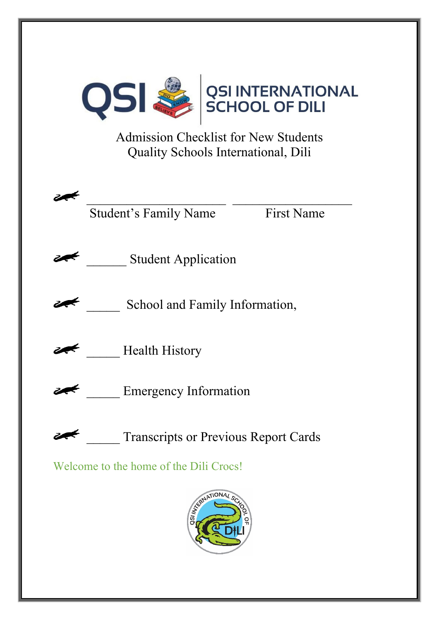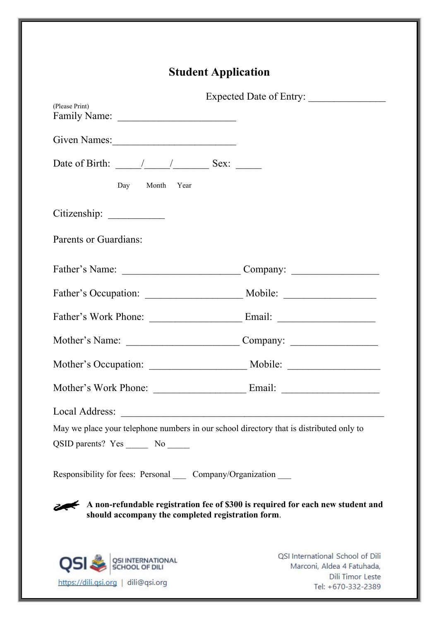# **Student Application**

| (Please Print)                                                                                                                       | Expected Date of Entry:                                        |  |
|--------------------------------------------------------------------------------------------------------------------------------------|----------------------------------------------------------------|--|
|                                                                                                                                      |                                                                |  |
| Given Names:                                                                                                                         |                                                                |  |
| Date of Birth: $\frac{1}{\sqrt{2\pi}}$ $\frac{1}{\sqrt{2\pi}}$ Sex:                                                                  |                                                                |  |
| Day Month Year                                                                                                                       |                                                                |  |
|                                                                                                                                      |                                                                |  |
| Parents or Guardians:                                                                                                                |                                                                |  |
|                                                                                                                                      |                                                                |  |
|                                                                                                                                      |                                                                |  |
|                                                                                                                                      |                                                                |  |
|                                                                                                                                      |                                                                |  |
|                                                                                                                                      |                                                                |  |
|                                                                                                                                      |                                                                |  |
| Local Address:                                                                                                                       |                                                                |  |
| May we place your telephone numbers in our school directory that is distributed only to                                              |                                                                |  |
| QSID parents? Yes _________ No _______                                                                                               |                                                                |  |
| Responsibility for fees: Personal _____ Company/Organization ____                                                                    |                                                                |  |
| A non-refundable registration fee of \$300 is required for each new student and<br>should accompany the completed registration form. |                                                                |  |
|                                                                                                                                      | QSI International School of Dili<br>Marconi, Aldea 4 Fatuhada, |  |

https://dili.qsi.org | dili@qsi.org

Dili Timor Leste Tel: +670-332-2389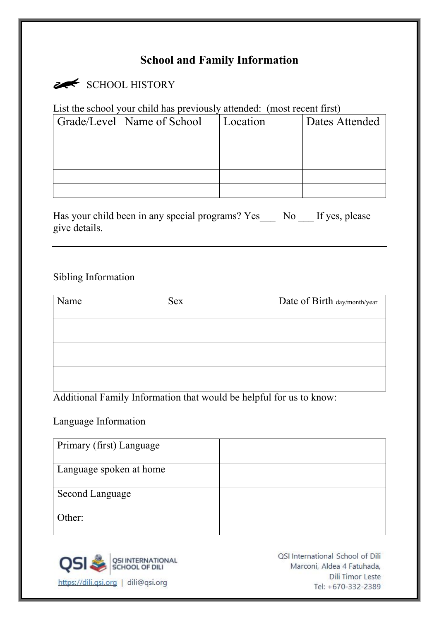# **School and Family Information**

# SCHOOL HISTORY

List the school your child has previously attended: (most recent first)

| Grade/Level   Name of School | Location | Dates Attended |
|------------------------------|----------|----------------|
|                              |          |                |
|                              |          |                |
|                              |          |                |
|                              |          |                |
|                              |          |                |

Has your child been in any special programs? Yes\_\_\_ No \_\_\_ If yes, please give details.

#### Sibling Information

| Name | <b>Sex</b> | Date of Birth day/month/year |
|------|------------|------------------------------|
|      |            |                              |
|      |            |                              |
|      |            |                              |

Additional Family Information that would be helpful for us to know:

#### Language Information

| Primary (first) Language |  |
|--------------------------|--|
| Language spoken at home  |  |
| Second Language          |  |
| Other:                   |  |



QSI International School of Dili Marconi, Aldea 4 Fatuhada, **Dili Timor Leste** Tel: +670-332-2389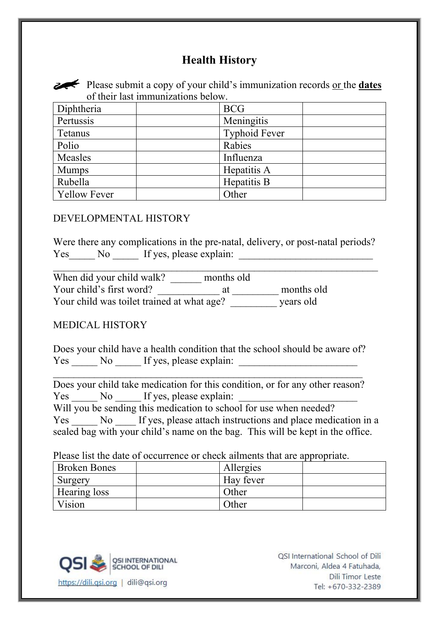# **Health History**



Please submit a copy of your child's immunization records <u>or the **dates**</u> of their last immunizations below.

| Diphtheria          | <b>BCG</b>           |
|---------------------|----------------------|
| Pertussis           | Meningitis           |
| Tetanus             | <b>Typhoid Fever</b> |
| Polio               | Rabies               |
| Measles             | Influenza            |
| <b>Mumps</b>        | Hepatitis A          |
| Rubella             | Hepatitis B          |
| <b>Yellow Fever</b> | Other                |

#### DEVELOPMENTAL HISTORY

Were there any complications in the pre-natal, delivery, or post-natal periods? Yes No If yes, please explain:

 $\_$  , and the set of the set of the set of the set of the set of the set of the set of the set of the set of the set of the set of the set of the set of the set of the set of the set of the set of the set of the set of th

| When did your child walk?                  | months old |            |
|--------------------------------------------|------------|------------|
| Your child's first word?                   | at         | months old |
| Your child was toilet trained at what age? |            | years old  |

#### MEDICAL HISTORY

Does your child have a health condition that the school should be aware of? Yes No If yes, please explain:

 $\_$  , and the set of the set of the set of the set of the set of the set of the set of the set of the set of the set of the set of the set of the set of the set of the set of the set of the set of the set of the set of th Does your child take medication for this condition, or for any other reason? Yes No If yes, please explain: Will you be sending this medication to school for use when needed?

Yes No If yes, please attach instructions and place medication in a sealed bag with your child's name on the bag. This will be kept in the office.

Please list the date of occurrence or check ailments that are appropriate.

| <b>Broken Bones</b> | Allergies |  |
|---------------------|-----------|--|
| Surgery             | Hay fever |  |
| Hearing loss        | Other     |  |
| Vision              | Other     |  |



OSI International School of Dili Marconi, Aldea 4 Fatuhada, Dili Timor Leste Tel: +670-332-2389